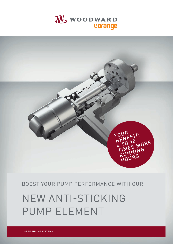# NEW ANTI-STICKING PUMP ELEMENT

# BOOST YOUR PUMP PERFORMANCE WITH OUR



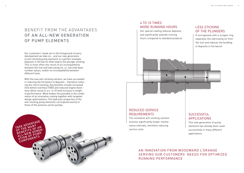

2

Our customers' needs are in the foreground of every development we take on – and our new generation of anti-sticking pump elements is a perfect example. Deposits in the barrel often lead to the plunger sticking. This is most often the result of an incompatibility between the fuel and lubricating oil, i.e. low total base number values, and/or an incompatibility between different fuels.

#### **SUCCESSFUL** APPLICATIONS

With the new anti-sticking solution, we have succeeded in reducing the formation of deposits – therefore reducing the risk of sticking. Key benefits include increased time before overhaul (TBO) and reduced engine downtime which result in a 4- to 10-fold increase in length of performance. What makes this possible is the combination of an innovative coating together with targeted design optimizations. The hydraulic properties of the anti-sticking pump elements correspond exactly to those of the previous series pumps.

# BENEFIT FROM THE ADVANTAGES OF AN ALL-NEW GENERATION OF PUMP ELEMENTS

### REDUCED SERVICE REQUIREMENTS

The innovative anti-sticking solution ensures significantly longer maintenance intervals, therefore reducing service costs

#### LESS STICKING OF THE PLUNGERS

A microgroove with a scraper ring separates the lubricating oil from the fuel and reduces the building of deposits in the barrel

This new generation of pump elements has already been used successfully in many different applications

#### 4 TO 10 TIMES MORE RUNNING HOURS

Our special coating reduces deposits and significantly extends running hours compared to standard products



## AN INNOVATION FROM WOODWARD L'OR ANGE SERVING OUR CUSTOMERS' NEEDS FOR OPTIMIZED RUNNING PERFORMANCE